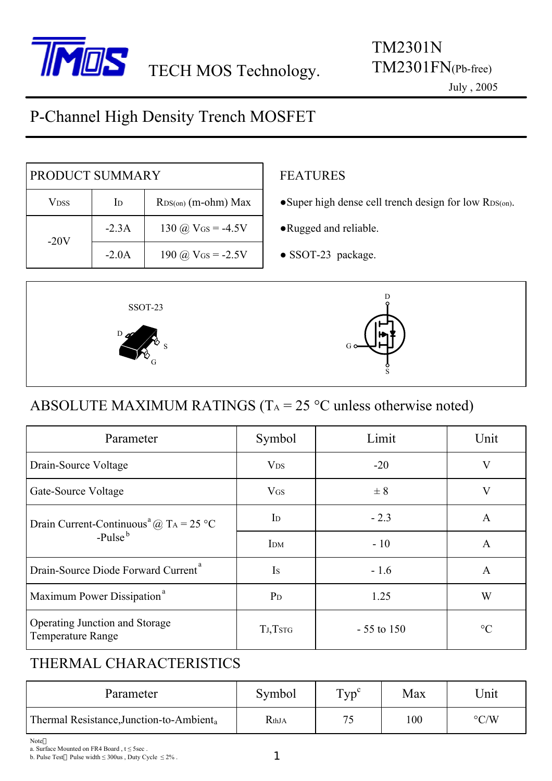

#### July , 2005

# P-Channel High Density Trench MOSFET

| PRODUCT SUMMARY |         |                       |  |  |
|-----------------|---------|-----------------------|--|--|
| Vdss            | ID      | $RDS(on)$ (m-ohm) Max |  |  |
| $-20V$          | $-2.3A$ | 130 @ $V$ Gs = -4.5V  |  |  |
|                 | $-2.0A$ | 190 @ $V$ Gs = -2.5V  |  |  |

### FEATURES

- ●Super high dense cell trench design for low RDS(on).
- ●Rugged and reliable.
- SSOT-23 package.



### ABSOLUTE MAXIMUM RATINGS ( $T_A = 25$  °C unless otherwise noted)

| Parameter                                                      | Symbol                    | Limit        | Unit         |  |
|----------------------------------------------------------------|---------------------------|--------------|--------------|--|
| Drain-Source Voltage                                           | <b>V<sub>DS</sub></b>     | $-20$        | V            |  |
| Gate-Source Voltage                                            | $V$ <sub>GS</sub>         | $\pm$ 8      | V            |  |
| Drain Current-Continuous <sup>a</sup> @ T <sub>A</sub> = 25 °C | $\mathbf{I}_{\mathrm{D}}$ | $-2.3$       | A            |  |
| $-Pulseb$                                                      | I <sub>DM</sub>           | $-10$        | $\mathsf{A}$ |  |
| Drain-Source Diode Forward Current <sup>a</sup>                | Is                        | $-1.6$       | A            |  |
| Maximum Power Dissipation <sup>a</sup>                         | $P_D$                     | 1.25         | W            |  |
| Operating Junction and Storage<br><b>Temperature Range</b>     | TJ,TSTG                   | $-55$ to 150 | $\circ$ C    |  |

### THERMAL CHARACTERISTICS

| Parameter                                            | Symbol | $Typ^{\mathcal{C}}$ | Max | <b>Jnit</b>        |
|------------------------------------------------------|--------|---------------------|-----|--------------------|
| Thermal Resistance, Junction-to-Ambient <sub>a</sub> | RthJA  | 75                  | 100 | $\rm ^{\circ} C/W$ |

Note

b. Pulse Test Pulse width  $\leq 300$ us, Duty Cycle  $\leq 2\%$ .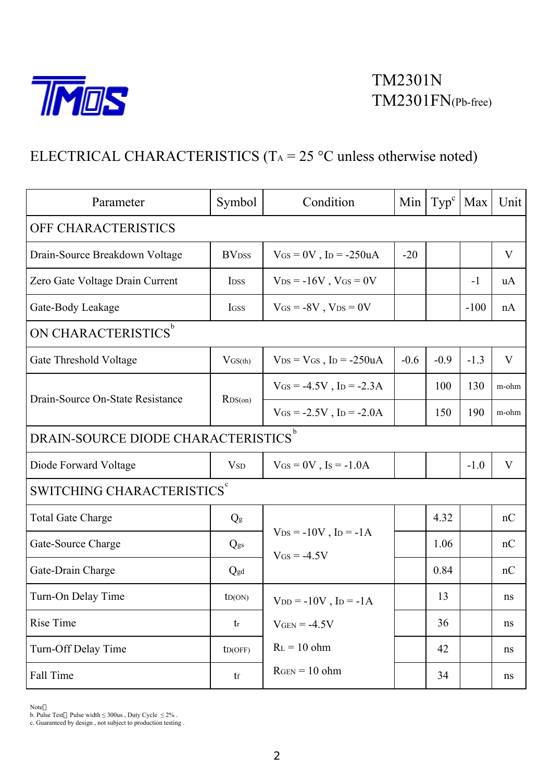

## ELECTRICAL CHARACTERISTICS (T<sub>A</sub> = 25 °C unless otherwise noted)

| Parameter                                     | Symbol                     | Condition                                                  | Min    | Type <sup>c</sup> | Max    | Unit  |  |  |
|-----------------------------------------------|----------------------------|------------------------------------------------------------|--------|-------------------|--------|-------|--|--|
| OFF CHARACTERISTICS                           |                            |                                                            |        |                   |        |       |  |  |
| Drain-Source Breakdown Voltage                | <b>BV</b> <sub>DSS</sub>   | $V$ GS = 0V, Ip = -250uA                                   | $-20$  |                   |        | V     |  |  |
| Zero Gate Voltage Drain Current               | <b>IDSS</b>                | $V_{DS} = -16V$ , $V_{GS} = 0V$                            |        |                   | $-1$   | uA    |  |  |
| Gate-Body Leakage                             | <b>IGSS</b>                | $V$ GS = -8V, $V$ DS = 0V                                  |        |                   | $-100$ | nA    |  |  |
| ON CHARACTERISTICS <sup>b</sup>               |                            |                                                            |        |                   |        |       |  |  |
| Gate Threshold Voltage                        | $V$ GS(th)                 | $V_{DS} = V_{GS}$ , I <sub>D</sub> = -250uA                | $-0.6$ | $-0.9$            | $-1.3$ | V     |  |  |
| Drain-Source On-State Resistance              | RDS(0n)                    | $V_{GS} = -4.5V$ , I <sub>D</sub> = -2.3A                  |        | 100               | 130    | m-ohm |  |  |
|                                               |                            | $V_{GS} = -2.5V$ , I <sub>D</sub> = $-2.0A$                |        | 150               | 190    | m-ohm |  |  |
| DRAIN-SOURCE DIODE CHARACTERISTICS $^{\rm b}$ |                            |                                                            |        |                   |        |       |  |  |
| Diode Forward Voltage                         | VSD                        | $V_{GS} = 0V$ , Is = -1.0A                                 |        |                   | $-1.0$ | V     |  |  |
| SWITCHING CHARACTERISTICS <sup>c</sup>        |                            |                                                            |        |                   |        |       |  |  |
| <b>Total Gate Charge</b>                      | $Q_g$                      |                                                            |        | 4.32              |        | nC    |  |  |
| Gate-Source Charge                            | $Q_{gs}$                   | $V_{DS} = -10V$ , $I_D = -1A$<br>$V$ <sub>GS</sub> = -4.5V |        | 1.06              |        | nC    |  |  |
| Gate-Drain Charge                             | Qgd                        |                                                            |        | 0.84              |        | nC    |  |  |
| Turn-On Delay Time                            | ID(ON)                     | $V_{DD} = -10V$ , $I_D = -1A$                              |        | 13                |        | ns    |  |  |
| Rise Time                                     | tr                         | $V_{GEN} = -4.5V$                                          |        | 36                |        | ns    |  |  |
| Turn-Off Delay Time                           | ID(OFF)                    | $R_L = 10$ ohm                                             |        | 42                |        | ns    |  |  |
| Fall Time                                     | $\mathop{\rm tr}\nolimits$ | $RGEN = 10 ohm$                                            |        | 34                |        | ns    |  |  |

Note

b. Pulse Test Pulse width  $\leq 300$ us, Duty Cycle  $\leq 2\%$ .

c. Guaranteed by design , not subject to production testing .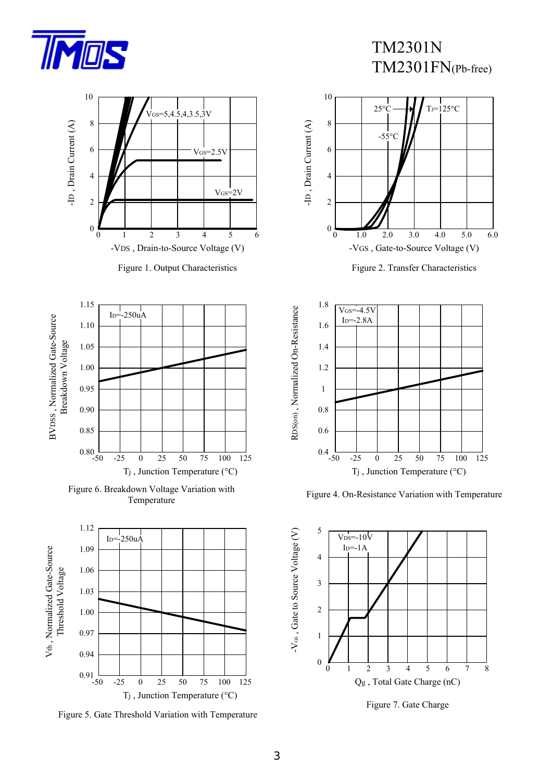



Figure 5. Gate Threshold Variation with Temperature



Figure 2. Transfer Characteristics



Figure 4. On-Resistance Variation with Temperature



Figure 7. Gate Charge